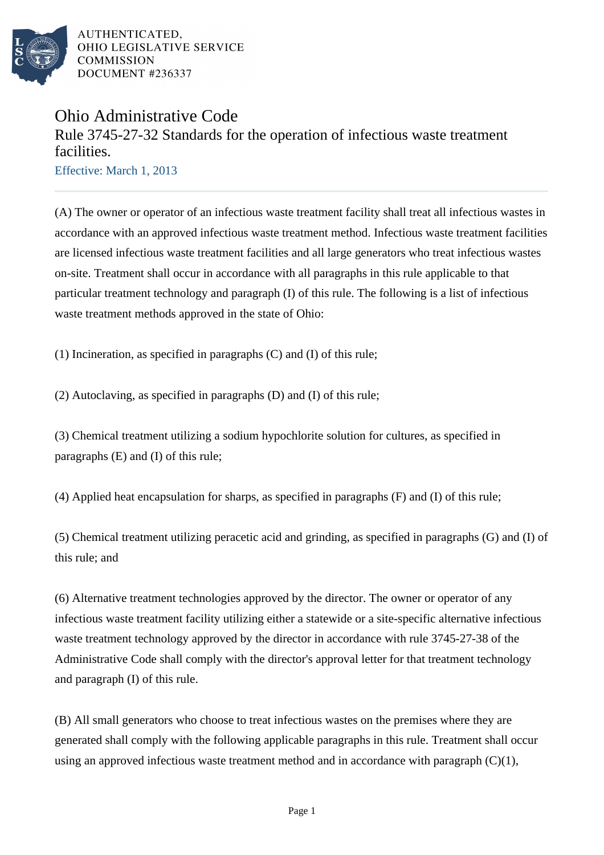

# Ohio Administrative Code Rule 3745-27-32 Standards for the operation of infectious waste treatment facilities.

Effective: March 1, 2013

(A) The owner or operator of an infectious waste treatment facility shall treat all infectious wastes in accordance with an approved infectious waste treatment method. Infectious waste treatment facilities are licensed infectious waste treatment facilities and all large generators who treat infectious wastes on-site. Treatment shall occur in accordance with all paragraphs in this rule applicable to that particular treatment technology and paragraph (I) of this rule. The following is a list of infectious waste treatment methods approved in the state of Ohio:

(1) Incineration, as specified in paragraphs (C) and (I) of this rule;

(2) Autoclaving, as specified in paragraphs (D) and (I) of this rule;

(3) Chemical treatment utilizing a sodium hypochlorite solution for cultures, as specified in paragraphs (E) and (I) of this rule;

(4) Applied heat encapsulation for sharps, as specified in paragraphs (F) and (I) of this rule;

(5) Chemical treatment utilizing peracetic acid and grinding, as specified in paragraphs (G) and (I) of this rule; and

(6) Alternative treatment technologies approved by the director. The owner or operator of any infectious waste treatment facility utilizing either a statewide or a site-specific alternative infectious waste treatment technology approved by the director in accordance with rule 3745-27-38 of the Administrative Code shall comply with the director's approval letter for that treatment technology and paragraph (I) of this rule.

(B) All small generators who choose to treat infectious wastes on the premises where they are generated shall comply with the following applicable paragraphs in this rule. Treatment shall occur using an approved infectious waste treatment method and in accordance with paragraph  $(C)(1)$ ,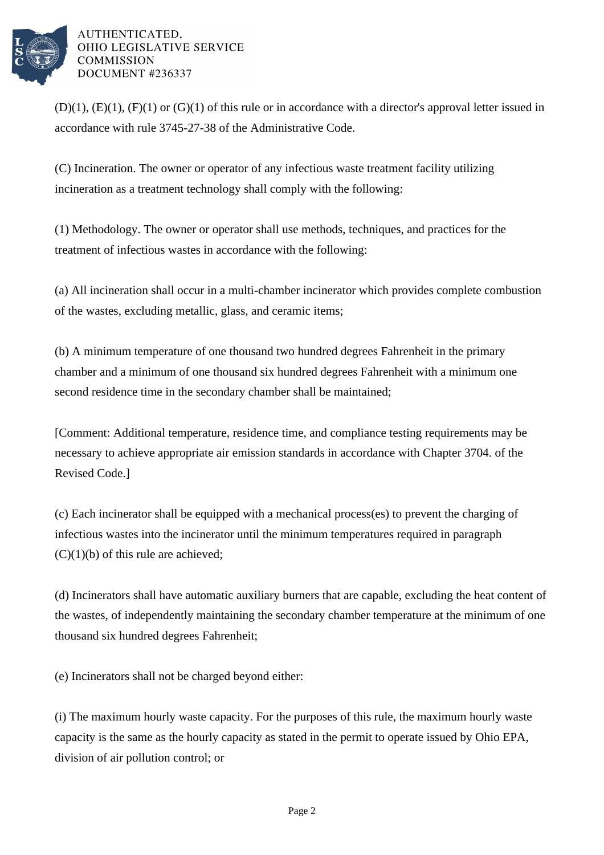

 $(D)(1)$ ,  $(E)(1)$ ,  $(F)(1)$  or  $(G)(1)$  of this rule or in accordance with a director's approval letter issued in accordance with rule 3745-27-38 of the Administrative Code.

(C) Incineration. The owner or operator of any infectious waste treatment facility utilizing incineration as a treatment technology shall comply with the following:

(1) Methodology. The owner or operator shall use methods, techniques, and practices for the treatment of infectious wastes in accordance with the following:

(a) All incineration shall occur in a multi-chamber incinerator which provides complete combustion of the wastes, excluding metallic, glass, and ceramic items;

(b) A minimum temperature of one thousand two hundred degrees Fahrenheit in the primary chamber and a minimum of one thousand six hundred degrees Fahrenheit with a minimum one second residence time in the secondary chamber shall be maintained;

[Comment: Additional temperature, residence time, and compliance testing requirements may be necessary to achieve appropriate air emission standards in accordance with Chapter 3704. of the Revised Code.]

(c) Each incinerator shall be equipped with a mechanical process(es) to prevent the charging of infectious wastes into the incinerator until the minimum temperatures required in paragraph  $(C)(1)(b)$  of this rule are achieved;

(d) Incinerators shall have automatic auxiliary burners that are capable, excluding the heat content of the wastes, of independently maintaining the secondary chamber temperature at the minimum of one thousand six hundred degrees Fahrenheit;

(e) Incinerators shall not be charged beyond either:

(i) The maximum hourly waste capacity. For the purposes of this rule, the maximum hourly waste capacity is the same as the hourly capacity as stated in the permit to operate issued by Ohio EPA, division of air pollution control; or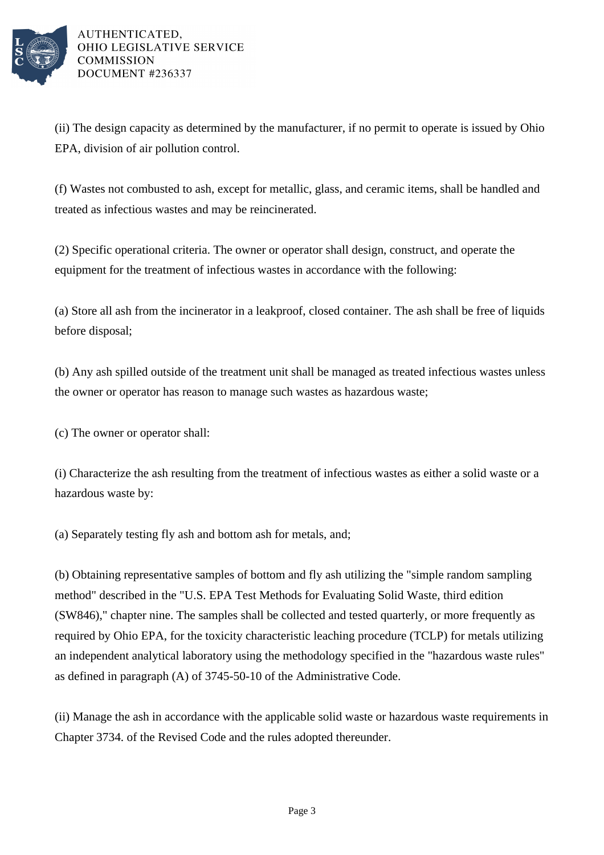

(ii) The design capacity as determined by the manufacturer, if no permit to operate is issued by Ohio EPA, division of air pollution control.

(f) Wastes not combusted to ash, except for metallic, glass, and ceramic items, shall be handled and treated as infectious wastes and may be reincinerated.

(2) Specific operational criteria. The owner or operator shall design, construct, and operate the equipment for the treatment of infectious wastes in accordance with the following:

(a) Store all ash from the incinerator in a leakproof, closed container. The ash shall be free of liquids before disposal;

(b) Any ash spilled outside of the treatment unit shall be managed as treated infectious wastes unless the owner or operator has reason to manage such wastes as hazardous waste;

(c) The owner or operator shall:

(i) Characterize the ash resulting from the treatment of infectious wastes as either a solid waste or a hazardous waste by:

(a) Separately testing fly ash and bottom ash for metals, and;

(b) Obtaining representative samples of bottom and fly ash utilizing the "simple random sampling method" described in the "U.S. EPA Test Methods for Evaluating Solid Waste, third edition (SW846)," chapter nine. The samples shall be collected and tested quarterly, or more frequently as required by Ohio EPA, for the toxicity characteristic leaching procedure (TCLP) for metals utilizing an independent analytical laboratory using the methodology specified in the "hazardous waste rules" as defined in paragraph (A) of 3745-50-10 of the Administrative Code.

(ii) Manage the ash in accordance with the applicable solid waste or hazardous waste requirements in Chapter 3734. of the Revised Code and the rules adopted thereunder.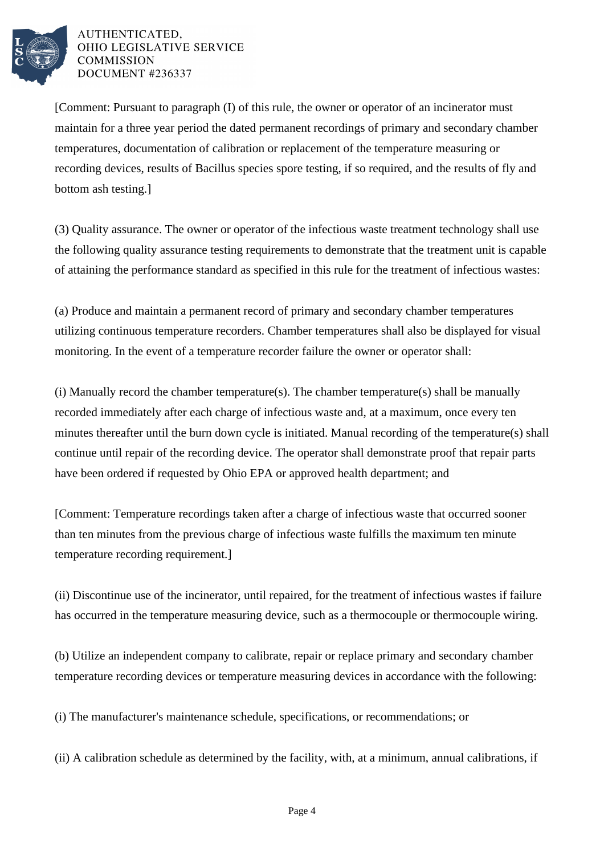

[Comment: Pursuant to paragraph (I) of this rule, the owner or operator of an incinerator must maintain for a three year period the dated permanent recordings of primary and secondary chamber temperatures, documentation of calibration or replacement of the temperature measuring or recording devices, results of Bacillus species spore testing, if so required, and the results of fly and bottom ash testing.]

(3) Quality assurance. The owner or operator of the infectious waste treatment technology shall use the following quality assurance testing requirements to demonstrate that the treatment unit is capable of attaining the performance standard as specified in this rule for the treatment of infectious wastes:

(a) Produce and maintain a permanent record of primary and secondary chamber temperatures utilizing continuous temperature recorders. Chamber temperatures shall also be displayed for visual monitoring. In the event of a temperature recorder failure the owner or operator shall:

(i) Manually record the chamber temperature(s). The chamber temperature(s) shall be manually recorded immediately after each charge of infectious waste and, at a maximum, once every ten minutes thereafter until the burn down cycle is initiated. Manual recording of the temperature(s) shall continue until repair of the recording device. The operator shall demonstrate proof that repair parts have been ordered if requested by Ohio EPA or approved health department; and

[Comment: Temperature recordings taken after a charge of infectious waste that occurred sooner than ten minutes from the previous charge of infectious waste fulfills the maximum ten minute temperature recording requirement.]

(ii) Discontinue use of the incinerator, until repaired, for the treatment of infectious wastes if failure has occurred in the temperature measuring device, such as a thermocouple or thermocouple wiring.

(b) Utilize an independent company to calibrate, repair or replace primary and secondary chamber temperature recording devices or temperature measuring devices in accordance with the following:

(i) The manufacturer's maintenance schedule, specifications, or recommendations; or

(ii) A calibration schedule as determined by the facility, with, at a minimum, annual calibrations, if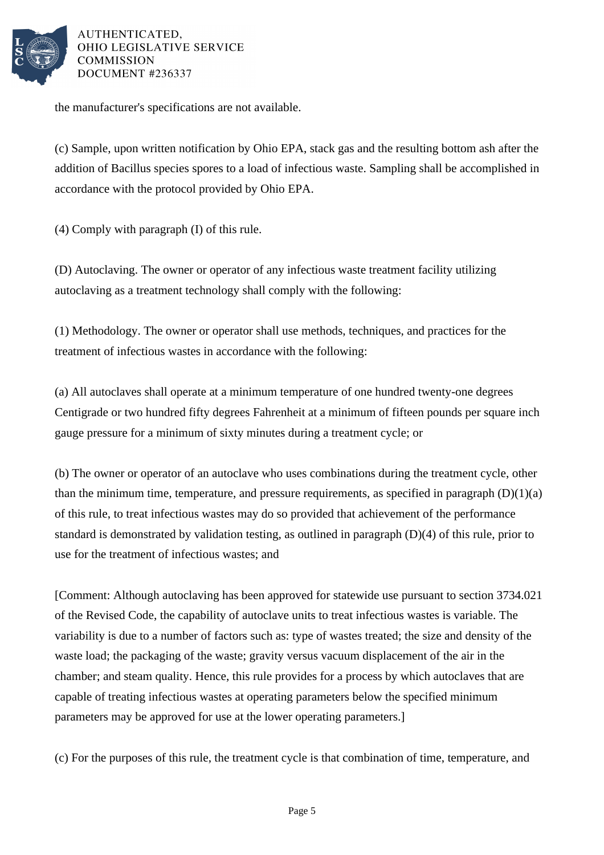

the manufacturer's specifications are not available.

(c) Sample, upon written notification by Ohio EPA, stack gas and the resulting bottom ash after the addition of Bacillus species spores to a load of infectious waste. Sampling shall be accomplished in accordance with the protocol provided by Ohio EPA.

(4) Comply with paragraph (I) of this rule.

(D) Autoclaving. The owner or operator of any infectious waste treatment facility utilizing autoclaving as a treatment technology shall comply with the following:

(1) Methodology. The owner or operator shall use methods, techniques, and practices for the treatment of infectious wastes in accordance with the following:

(a) All autoclaves shall operate at a minimum temperature of one hundred twenty-one degrees Centigrade or two hundred fifty degrees Fahrenheit at a minimum of fifteen pounds per square inch gauge pressure for a minimum of sixty minutes during a treatment cycle; or

(b) The owner or operator of an autoclave who uses combinations during the treatment cycle, other than the minimum time, temperature, and pressure requirements, as specified in paragraph  $(D)(1)(a)$ of this rule, to treat infectious wastes may do so provided that achievement of the performance standard is demonstrated by validation testing, as outlined in paragraph (D)(4) of this rule, prior to use for the treatment of infectious wastes; and

[Comment: Although autoclaving has been approved for statewide use pursuant to section 3734.021 of the Revised Code, the capability of autoclave units to treat infectious wastes is variable. The variability is due to a number of factors such as: type of wastes treated; the size and density of the waste load; the packaging of the waste; gravity versus vacuum displacement of the air in the chamber; and steam quality. Hence, this rule provides for a process by which autoclaves that are capable of treating infectious wastes at operating parameters below the specified minimum parameters may be approved for use at the lower operating parameters.]

(c) For the purposes of this rule, the treatment cycle is that combination of time, temperature, and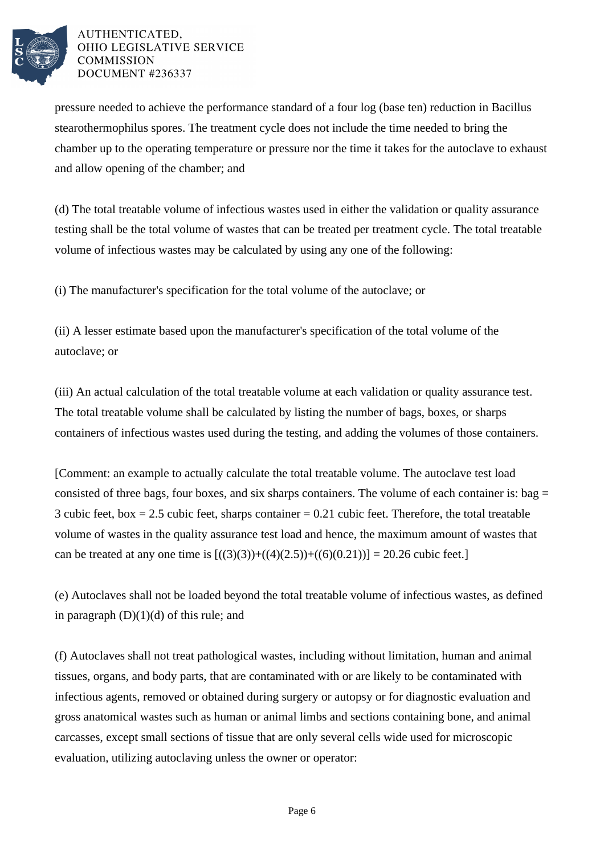

pressure needed to achieve the performance standard of a four log (base ten) reduction in Bacillus stearothermophilus spores. The treatment cycle does not include the time needed to bring the chamber up to the operating temperature or pressure nor the time it takes for the autoclave to exhaust and allow opening of the chamber; and

(d) The total treatable volume of infectious wastes used in either the validation or quality assurance testing shall be the total volume of wastes that can be treated per treatment cycle. The total treatable volume of infectious wastes may be calculated by using any one of the following:

(i) The manufacturer's specification for the total volume of the autoclave; or

(ii) A lesser estimate based upon the manufacturer's specification of the total volume of the autoclave; or

(iii) An actual calculation of the total treatable volume at each validation or quality assurance test. The total treatable volume shall be calculated by listing the number of bags, boxes, or sharps containers of infectious wastes used during the testing, and adding the volumes of those containers.

[Comment: an example to actually calculate the total treatable volume. The autoclave test load consisted of three bags, four boxes, and six sharps containers. The volume of each container is:  $bag =$ 3 cubic feet, box = 2.5 cubic feet, sharps container = 0.21 cubic feet. Therefore, the total treatable volume of wastes in the quality assurance test load and hence, the maximum amount of wastes that can be treated at any one time is  $[(3)(3))+(4)(2.5))+(6)(0.21))$  = 20.26 cubic feet.]

(e) Autoclaves shall not be loaded beyond the total treatable volume of infectious wastes, as defined in paragraph  $(D)(1)(d)$  of this rule; and

(f) Autoclaves shall not treat pathological wastes, including without limitation, human and animal tissues, organs, and body parts, that are contaminated with or are likely to be contaminated with infectious agents, removed or obtained during surgery or autopsy or for diagnostic evaluation and gross anatomical wastes such as human or animal limbs and sections containing bone, and animal carcasses, except small sections of tissue that are only several cells wide used for microscopic evaluation, utilizing autoclaving unless the owner or operator: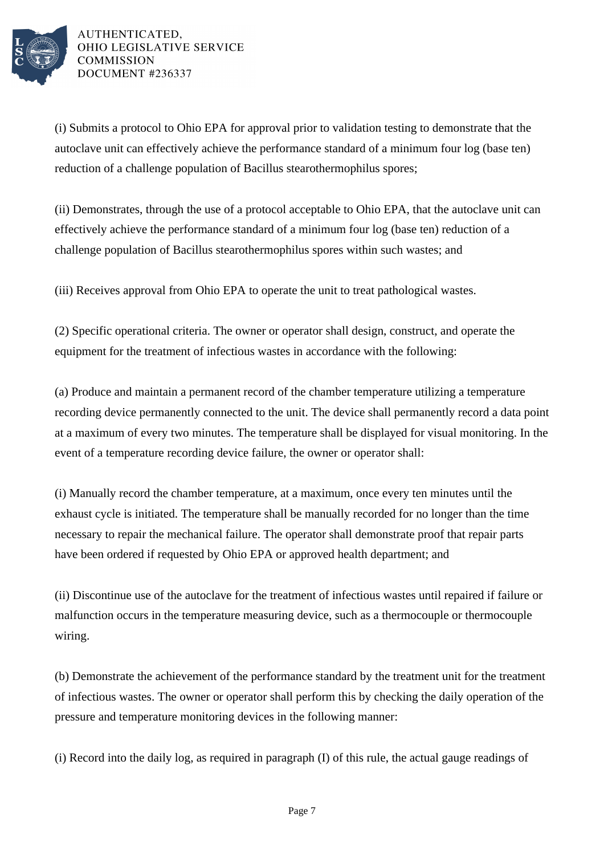

(i) Submits a protocol to Ohio EPA for approval prior to validation testing to demonstrate that the autoclave unit can effectively achieve the performance standard of a minimum four log (base ten) reduction of a challenge population of Bacillus stearothermophilus spores;

(ii) Demonstrates, through the use of a protocol acceptable to Ohio EPA, that the autoclave unit can effectively achieve the performance standard of a minimum four log (base ten) reduction of a challenge population of Bacillus stearothermophilus spores within such wastes; and

(iii) Receives approval from Ohio EPA to operate the unit to treat pathological wastes.

(2) Specific operational criteria. The owner or operator shall design, construct, and operate the equipment for the treatment of infectious wastes in accordance with the following:

(a) Produce and maintain a permanent record of the chamber temperature utilizing a temperature recording device permanently connected to the unit. The device shall permanently record a data point at a maximum of every two minutes. The temperature shall be displayed for visual monitoring. In the event of a temperature recording device failure, the owner or operator shall:

(i) Manually record the chamber temperature, at a maximum, once every ten minutes until the exhaust cycle is initiated. The temperature shall be manually recorded for no longer than the time necessary to repair the mechanical failure. The operator shall demonstrate proof that repair parts have been ordered if requested by Ohio EPA or approved health department; and

(ii) Discontinue use of the autoclave for the treatment of infectious wastes until repaired if failure or malfunction occurs in the temperature measuring device, such as a thermocouple or thermocouple wiring.

(b) Demonstrate the achievement of the performance standard by the treatment unit for the treatment of infectious wastes. The owner or operator shall perform this by checking the daily operation of the pressure and temperature monitoring devices in the following manner:

(i) Record into the daily log, as required in paragraph (I) of this rule, the actual gauge readings of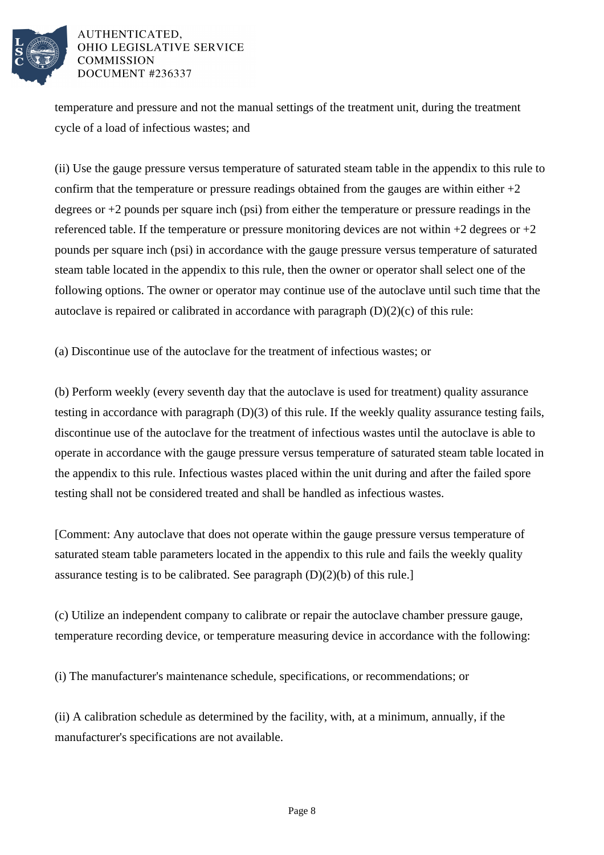

temperature and pressure and not the manual settings of the treatment unit, during the treatment cycle of a load of infectious wastes; and

(ii) Use the gauge pressure versus temperature of saturated steam table in the appendix to this rule to confirm that the temperature or pressure readings obtained from the gauges are within either  $+2$ degrees or +2 pounds per square inch (psi) from either the temperature or pressure readings in the referenced table. If the temperature or pressure monitoring devices are not within  $+2$  degrees or  $+2$ pounds per square inch (psi) in accordance with the gauge pressure versus temperature of saturated steam table located in the appendix to this rule, then the owner or operator shall select one of the following options. The owner or operator may continue use of the autoclave until such time that the autoclave is repaired or calibrated in accordance with paragraph (D)(2)(c) of this rule:

(a) Discontinue use of the autoclave for the treatment of infectious wastes; or

(b) Perform weekly (every seventh day that the autoclave is used for treatment) quality assurance testing in accordance with paragraph (D)(3) of this rule. If the weekly quality assurance testing fails, discontinue use of the autoclave for the treatment of infectious wastes until the autoclave is able to operate in accordance with the gauge pressure versus temperature of saturated steam table located in the appendix to this rule. Infectious wastes placed within the unit during and after the failed spore testing shall not be considered treated and shall be handled as infectious wastes.

[Comment: Any autoclave that does not operate within the gauge pressure versus temperature of saturated steam table parameters located in the appendix to this rule and fails the weekly quality assurance testing is to be calibrated. See paragraph  $(D)(2)(b)$  of this rule.]

(c) Utilize an independent company to calibrate or repair the autoclave chamber pressure gauge, temperature recording device, or temperature measuring device in accordance with the following:

(i) The manufacturer's maintenance schedule, specifications, or recommendations; or

(ii) A calibration schedule as determined by the facility, with, at a minimum, annually, if the manufacturer's specifications are not available.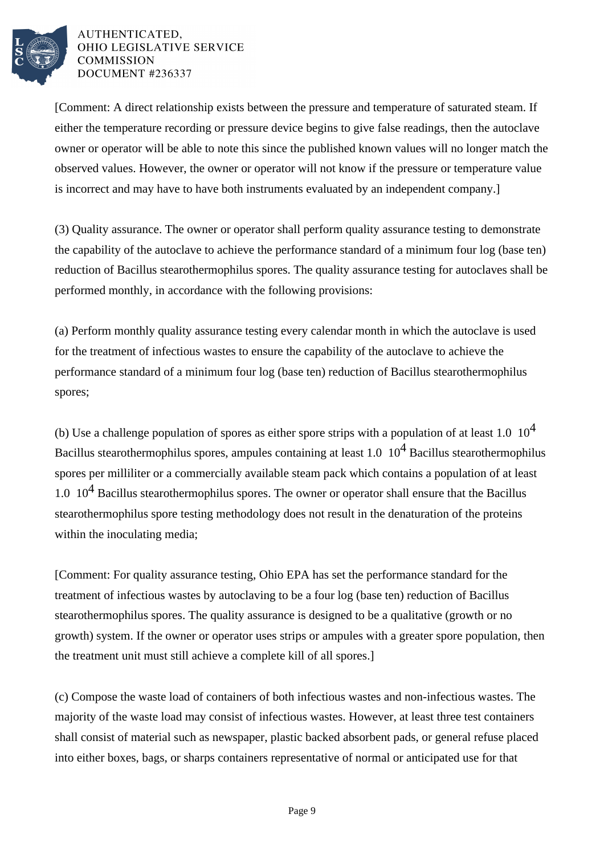

[Comment: A direct relationship exists between the pressure and temperature of saturated steam. If either the temperature recording or pressure device begins to give false readings, then the autoclave owner or operator will be able to note this since the published known values will no longer match the observed values. However, the owner or operator will not know if the pressure or temperature value is incorrect and may have to have both instruments evaluated by an independent company.]

(3) Quality assurance. The owner or operator shall perform quality assurance testing to demonstrate the capability of the autoclave to achieve the performance standard of a minimum four log (base ten) reduction of Bacillus stearothermophilus spores. The quality assurance testing for autoclaves shall be performed monthly, in accordance with the following provisions:

(a) Perform monthly quality assurance testing every calendar month in which the autoclave is used for the treatment of infectious wastes to ensure the capability of the autoclave to achieve the performance standard of a minimum four log (base ten) reduction of Bacillus stearothermophilus spores;

(b) Use a challenge population of spores as either spore strips with a population of at least 1.0  $10<sup>4</sup>$ Bacillus stearothermophilus spores, ampules containing at least  $1.0 \times 10^4$  Bacillus stearothermophilus spores per milliliter or a commercially available steam pack which contains a population of at least 1.0  $10<sup>4</sup>$  Bacillus stearothermophilus spores. The owner or operator shall ensure that the Bacillus stearothermophilus spore testing methodology does not result in the denaturation of the proteins within the inoculating media;

[Comment: For quality assurance testing, Ohio EPA has set the performance standard for the treatment of infectious wastes by autoclaving to be a four log (base ten) reduction of Bacillus stearothermophilus spores. The quality assurance is designed to be a qualitative (growth or no growth) system. If the owner or operator uses strips or ampules with a greater spore population, then the treatment unit must still achieve a complete kill of all spores.]

(c) Compose the waste load of containers of both infectious wastes and non-infectious wastes. The majority of the waste load may consist of infectious wastes. However, at least three test containers shall consist of material such as newspaper, plastic backed absorbent pads, or general refuse placed into either boxes, bags, or sharps containers representative of normal or anticipated use for that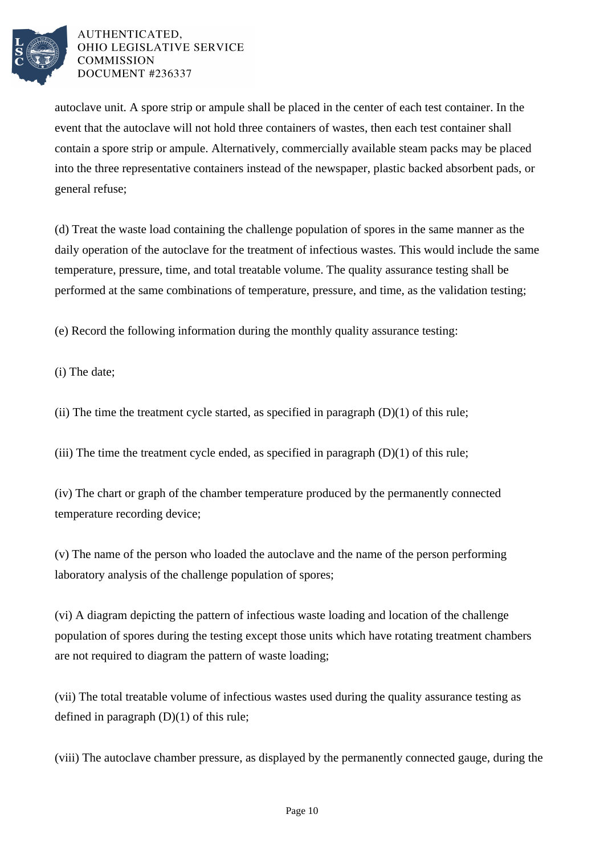

autoclave unit. A spore strip or ampule shall be placed in the center of each test container. In the event that the autoclave will not hold three containers of wastes, then each test container shall contain a spore strip or ampule. Alternatively, commercially available steam packs may be placed into the three representative containers instead of the newspaper, plastic backed absorbent pads, or general refuse;

(d) Treat the waste load containing the challenge population of spores in the same manner as the daily operation of the autoclave for the treatment of infectious wastes. This would include the same temperature, pressure, time, and total treatable volume. The quality assurance testing shall be performed at the same combinations of temperature, pressure, and time, as the validation testing;

(e) Record the following information during the monthly quality assurance testing:

(i) The date;

(ii) The time the treatment cycle started, as specified in paragraph  $(D)(1)$  of this rule;

(iii) The time the treatment cycle ended, as specified in paragraph  $(D)(1)$  of this rule;

(iv) The chart or graph of the chamber temperature produced by the permanently connected temperature recording device;

(v) The name of the person who loaded the autoclave and the name of the person performing laboratory analysis of the challenge population of spores;

(vi) A diagram depicting the pattern of infectious waste loading and location of the challenge population of spores during the testing except those units which have rotating treatment chambers are not required to diagram the pattern of waste loading;

(vii) The total treatable volume of infectious wastes used during the quality assurance testing as defined in paragraph (D)(1) of this rule;

(viii) The autoclave chamber pressure, as displayed by the permanently connected gauge, during the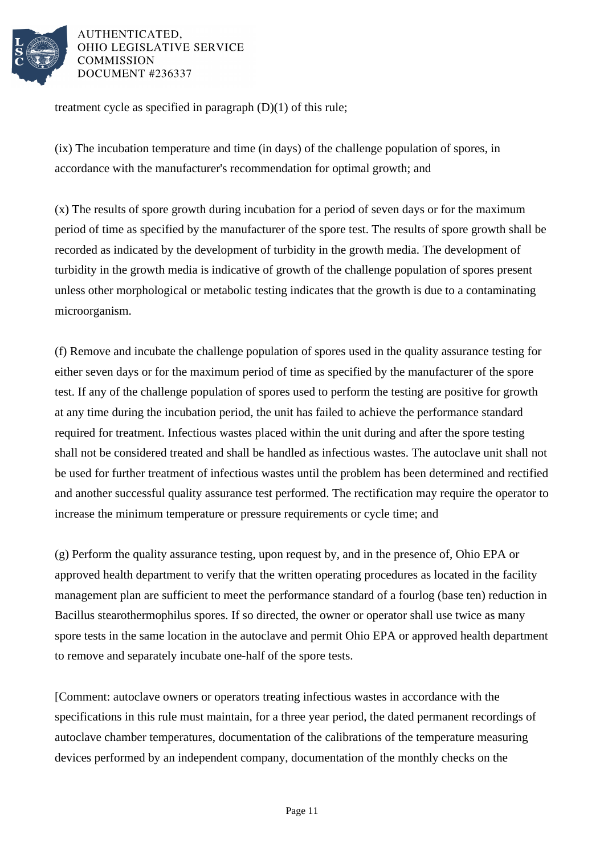

treatment cycle as specified in paragraph (D)(1) of this rule;

(ix) The incubation temperature and time (in days) of the challenge population of spores, in accordance with the manufacturer's recommendation for optimal growth; and

(x) The results of spore growth during incubation for a period of seven days or for the maximum period of time as specified by the manufacturer of the spore test. The results of spore growth shall be recorded as indicated by the development of turbidity in the growth media. The development of turbidity in the growth media is indicative of growth of the challenge population of spores present unless other morphological or metabolic testing indicates that the growth is due to a contaminating microorganism.

(f) Remove and incubate the challenge population of spores used in the quality assurance testing for either seven days or for the maximum period of time as specified by the manufacturer of the spore test. If any of the challenge population of spores used to perform the testing are positive for growth at any time during the incubation period, the unit has failed to achieve the performance standard required for treatment. Infectious wastes placed within the unit during and after the spore testing shall not be considered treated and shall be handled as infectious wastes. The autoclave unit shall not be used for further treatment of infectious wastes until the problem has been determined and rectified and another successful quality assurance test performed. The rectification may require the operator to increase the minimum temperature or pressure requirements or cycle time; and

(g) Perform the quality assurance testing, upon request by, and in the presence of, Ohio EPA or approved health department to verify that the written operating procedures as located in the facility management plan are sufficient to meet the performance standard of a fourlog (base ten) reduction in Bacillus stearothermophilus spores. If so directed, the owner or operator shall use twice as many spore tests in the same location in the autoclave and permit Ohio EPA or approved health department to remove and separately incubate one-half of the spore tests.

[Comment: autoclave owners or operators treating infectious wastes in accordance with the specifications in this rule must maintain, for a three year period, the dated permanent recordings of autoclave chamber temperatures, documentation of the calibrations of the temperature measuring devices performed by an independent company, documentation of the monthly checks on the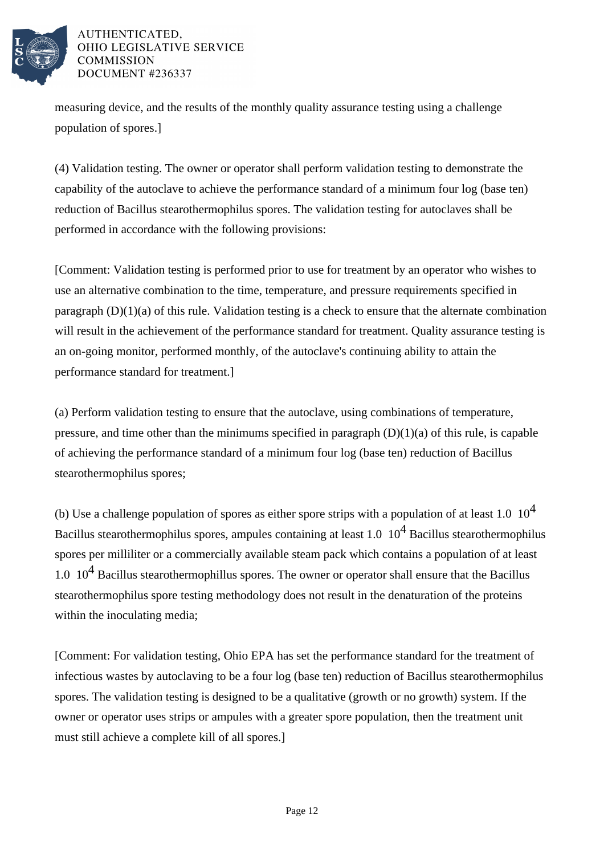

measuring device, and the results of the monthly quality assurance testing using a challenge population of spores.]

(4) Validation testing. The owner or operator shall perform validation testing to demonstrate the capability of the autoclave to achieve the performance standard of a minimum four log (base ten) reduction of Bacillus stearothermophilus spores. The validation testing for autoclaves shall be performed in accordance with the following provisions:

[Comment: Validation testing is performed prior to use for treatment by an operator who wishes to use an alternative combination to the time, temperature, and pressure requirements specified in paragraph  $(D)(1)(a)$  of this rule. Validation testing is a check to ensure that the alternate combination will result in the achievement of the performance standard for treatment. Quality assurance testing is an on-going monitor, performed monthly, of the autoclave's continuing ability to attain the performance standard for treatment.]

(a) Perform validation testing to ensure that the autoclave, using combinations of temperature, pressure, and time other than the minimums specified in paragraph  $(D)(1)(a)$  of this rule, is capable of achieving the performance standard of a minimum four log (base ten) reduction of Bacillus stearothermophilus spores;

(b) Use a challenge population of spores as either spore strips with a population of at least 1.0  $10<sup>4</sup>$ Bacillus stearothermophilus spores, ampules containing at least  $1.0 \times 10^4$  Bacillus stearothermophilus spores per milliliter or a commercially available steam pack which contains a population of at least  $1.0 \, 10^4$  Bacillus stearothermophillus spores. The owner or operator shall ensure that the Bacillus stearothermophilus spore testing methodology does not result in the denaturation of the proteins within the inoculating media;

[Comment: For validation testing, Ohio EPA has set the performance standard for the treatment of infectious wastes by autoclaving to be a four log (base ten) reduction of Bacillus stearothermophilus spores. The validation testing is designed to be a qualitative (growth or no growth) system. If the owner or operator uses strips or ampules with a greater spore population, then the treatment unit must still achieve a complete kill of all spores.]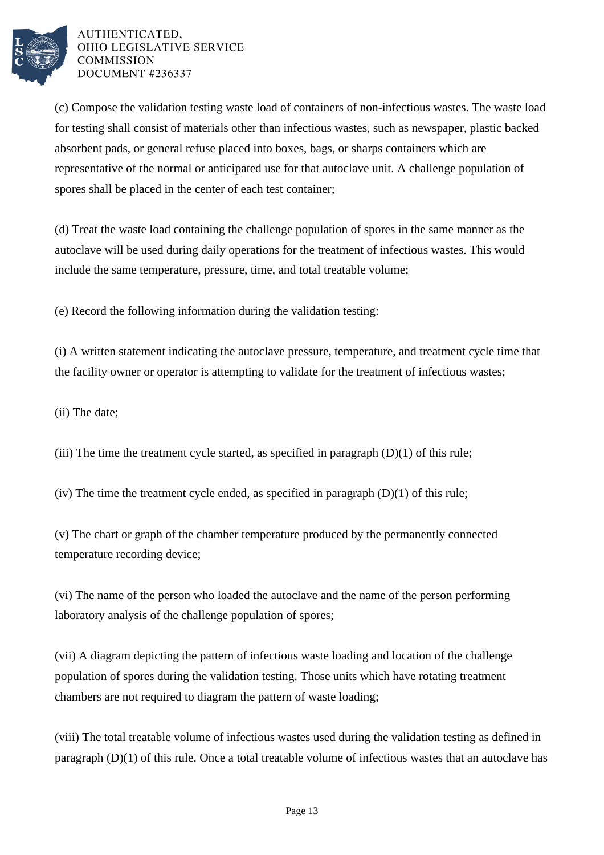

(c) Compose the validation testing waste load of containers of non-infectious wastes. The waste load for testing shall consist of materials other than infectious wastes, such as newspaper, plastic backed absorbent pads, or general refuse placed into boxes, bags, or sharps containers which are representative of the normal or anticipated use for that autoclave unit. A challenge population of spores shall be placed in the center of each test container;

(d) Treat the waste load containing the challenge population of spores in the same manner as the autoclave will be used during daily operations for the treatment of infectious wastes. This would include the same temperature, pressure, time, and total treatable volume;

(e) Record the following information during the validation testing:

(i) A written statement indicating the autoclave pressure, temperature, and treatment cycle time that the facility owner or operator is attempting to validate for the treatment of infectious wastes;

(ii) The date;

(iii) The time the treatment cycle started, as specified in paragraph  $(D)(1)$  of this rule;

(iv) The time the treatment cycle ended, as specified in paragraph  $(D)(1)$  of this rule;

(v) The chart or graph of the chamber temperature produced by the permanently connected temperature recording device;

(vi) The name of the person who loaded the autoclave and the name of the person performing laboratory analysis of the challenge population of spores;

(vii) A diagram depicting the pattern of infectious waste loading and location of the challenge population of spores during the validation testing. Those units which have rotating treatment chambers are not required to diagram the pattern of waste loading;

(viii) The total treatable volume of infectious wastes used during the validation testing as defined in paragraph (D)(1) of this rule. Once a total treatable volume of infectious wastes that an autoclave has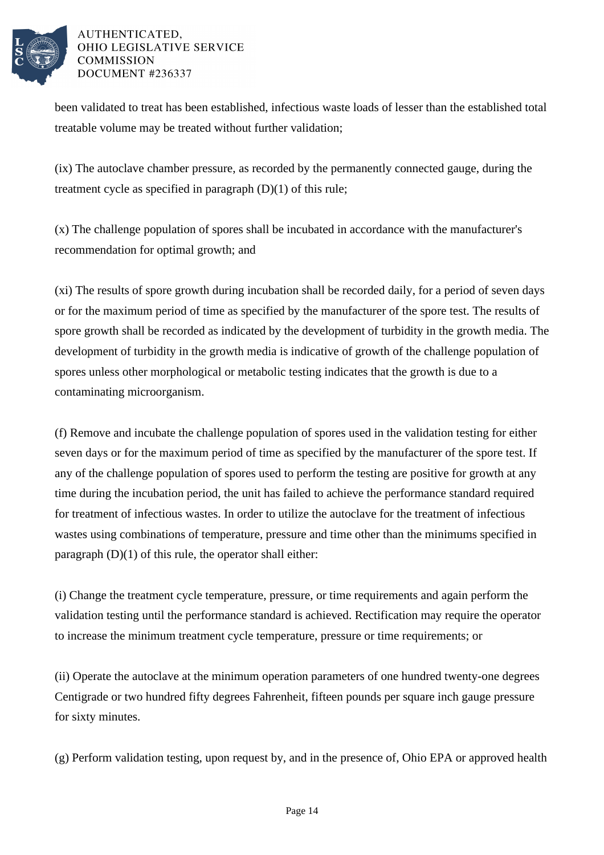

been validated to treat has been established, infectious waste loads of lesser than the established total treatable volume may be treated without further validation;

(ix) The autoclave chamber pressure, as recorded by the permanently connected gauge, during the treatment cycle as specified in paragraph (D)(1) of this rule;

(x) The challenge population of spores shall be incubated in accordance with the manufacturer's recommendation for optimal growth; and

(xi) The results of spore growth during incubation shall be recorded daily, for a period of seven days or for the maximum period of time as specified by the manufacturer of the spore test. The results of spore growth shall be recorded as indicated by the development of turbidity in the growth media. The development of turbidity in the growth media is indicative of growth of the challenge population of spores unless other morphological or metabolic testing indicates that the growth is due to a contaminating microorganism.

(f) Remove and incubate the challenge population of spores used in the validation testing for either seven days or for the maximum period of time as specified by the manufacturer of the spore test. If any of the challenge population of spores used to perform the testing are positive for growth at any time during the incubation period, the unit has failed to achieve the performance standard required for treatment of infectious wastes. In order to utilize the autoclave for the treatment of infectious wastes using combinations of temperature, pressure and time other than the minimums specified in paragraph  $(D)(1)$  of this rule, the operator shall either:

(i) Change the treatment cycle temperature, pressure, or time requirements and again perform the validation testing until the performance standard is achieved. Rectification may require the operator to increase the minimum treatment cycle temperature, pressure or time requirements; or

(ii) Operate the autoclave at the minimum operation parameters of one hundred twenty-one degrees Centigrade or two hundred fifty degrees Fahrenheit, fifteen pounds per square inch gauge pressure for sixty minutes.

(g) Perform validation testing, upon request by, and in the presence of, Ohio EPA or approved health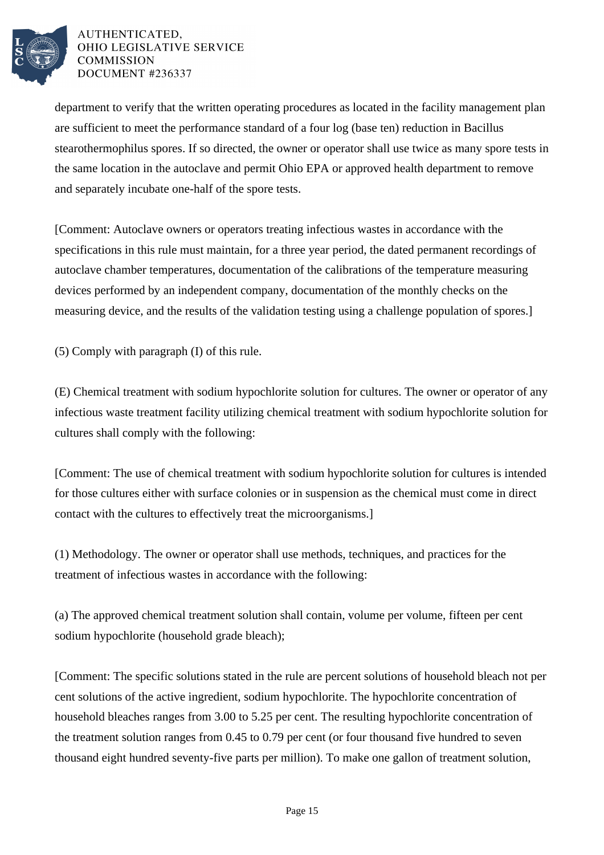

department to verify that the written operating procedures as located in the facility management plan are sufficient to meet the performance standard of a four log (base ten) reduction in Bacillus stearothermophilus spores. If so directed, the owner or operator shall use twice as many spore tests in the same location in the autoclave and permit Ohio EPA or approved health department to remove and separately incubate one-half of the spore tests.

[Comment: Autoclave owners or operators treating infectious wastes in accordance with the specifications in this rule must maintain, for a three year period, the dated permanent recordings of autoclave chamber temperatures, documentation of the calibrations of the temperature measuring devices performed by an independent company, documentation of the monthly checks on the measuring device, and the results of the validation testing using a challenge population of spores.]

(5) Comply with paragraph (I) of this rule.

(E) Chemical treatment with sodium hypochlorite solution for cultures. The owner or operator of any infectious waste treatment facility utilizing chemical treatment with sodium hypochlorite solution for cultures shall comply with the following:

[Comment: The use of chemical treatment with sodium hypochlorite solution for cultures is intended for those cultures either with surface colonies or in suspension as the chemical must come in direct contact with the cultures to effectively treat the microorganisms.]

(1) Methodology. The owner or operator shall use methods, techniques, and practices for the treatment of infectious wastes in accordance with the following:

(a) The approved chemical treatment solution shall contain, volume per volume, fifteen per cent sodium hypochlorite (household grade bleach);

[Comment: The specific solutions stated in the rule are percent solutions of household bleach not per cent solutions of the active ingredient, sodium hypochlorite. The hypochlorite concentration of household bleaches ranges from 3.00 to 5.25 per cent. The resulting hypochlorite concentration of the treatment solution ranges from 0.45 to 0.79 per cent (or four thousand five hundred to seven thousand eight hundred seventy-five parts per million). To make one gallon of treatment solution,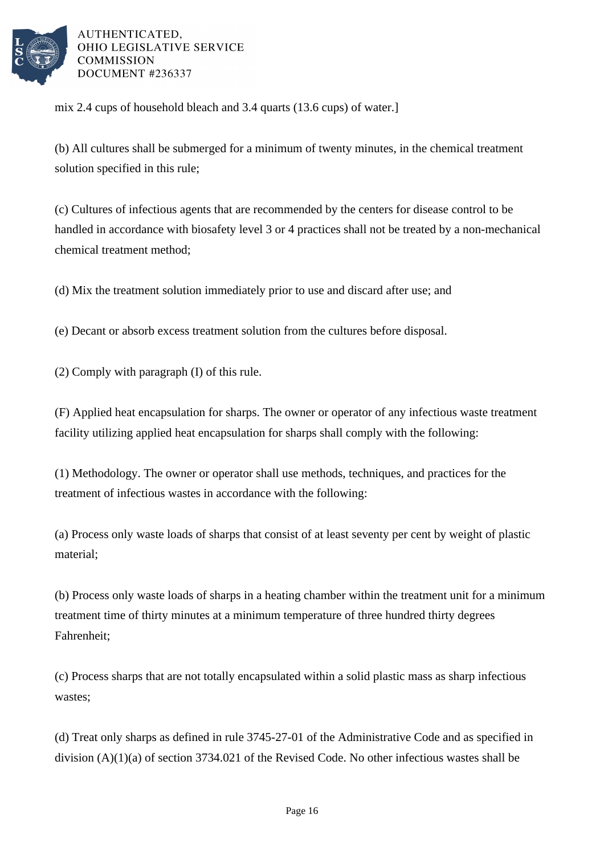

mix 2.4 cups of household bleach and 3.4 quarts (13.6 cups) of water.]

(b) All cultures shall be submerged for a minimum of twenty minutes, in the chemical treatment solution specified in this rule;

(c) Cultures of infectious agents that are recommended by the centers for disease control to be handled in accordance with biosafety level 3 or 4 practices shall not be treated by a non-mechanical chemical treatment method;

(d) Mix the treatment solution immediately prior to use and discard after use; and

(e) Decant or absorb excess treatment solution from the cultures before disposal.

(2) Comply with paragraph (I) of this rule.

(F) Applied heat encapsulation for sharps. The owner or operator of any infectious waste treatment facility utilizing applied heat encapsulation for sharps shall comply with the following:

(1) Methodology. The owner or operator shall use methods, techniques, and practices for the treatment of infectious wastes in accordance with the following:

(a) Process only waste loads of sharps that consist of at least seventy per cent by weight of plastic material;

(b) Process only waste loads of sharps in a heating chamber within the treatment unit for a minimum treatment time of thirty minutes at a minimum temperature of three hundred thirty degrees Fahrenheit;

(c) Process sharps that are not totally encapsulated within a solid plastic mass as sharp infectious wastes;

(d) Treat only sharps as defined in rule 3745-27-01 of the Administrative Code and as specified in division (A)(1)(a) of section 3734.021 of the Revised Code. No other infectious wastes shall be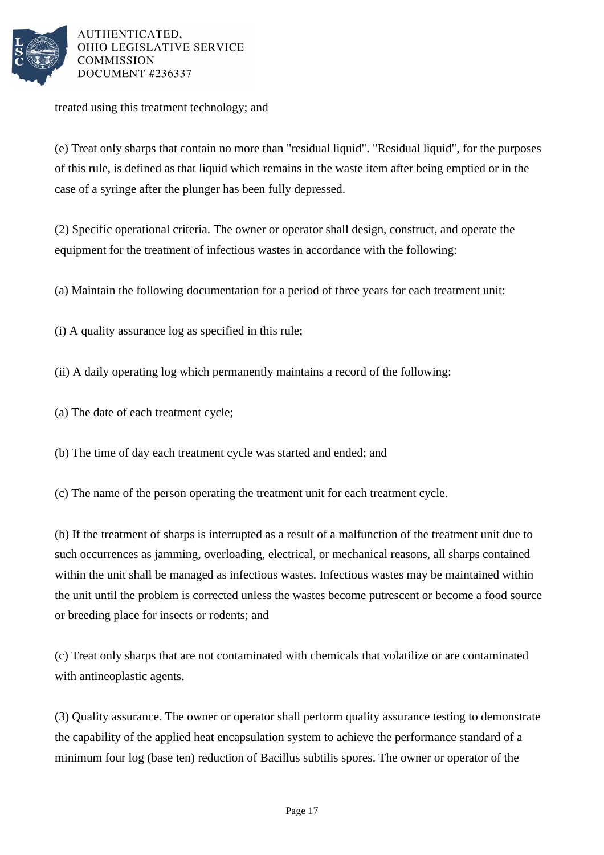

treated using this treatment technology; and

(e) Treat only sharps that contain no more than "residual liquid". "Residual liquid", for the purposes of this rule, is defined as that liquid which remains in the waste item after being emptied or in the case of a syringe after the plunger has been fully depressed.

(2) Specific operational criteria. The owner or operator shall design, construct, and operate the equipment for the treatment of infectious wastes in accordance with the following:

(a) Maintain the following documentation for a period of three years for each treatment unit:

(i) A quality assurance log as specified in this rule;

- (ii) A daily operating log which permanently maintains a record of the following:
- (a) The date of each treatment cycle;

(b) The time of day each treatment cycle was started and ended; and

(c) The name of the person operating the treatment unit for each treatment cycle.

(b) If the treatment of sharps is interrupted as a result of a malfunction of the treatment unit due to such occurrences as jamming, overloading, electrical, or mechanical reasons, all sharps contained within the unit shall be managed as infectious wastes. Infectious wastes may be maintained within the unit until the problem is corrected unless the wastes become putrescent or become a food source or breeding place for insects or rodents; and

(c) Treat only sharps that are not contaminated with chemicals that volatilize or are contaminated with antineoplastic agents.

(3) Quality assurance. The owner or operator shall perform quality assurance testing to demonstrate the capability of the applied heat encapsulation system to achieve the performance standard of a minimum four log (base ten) reduction of Bacillus subtilis spores. The owner or operator of the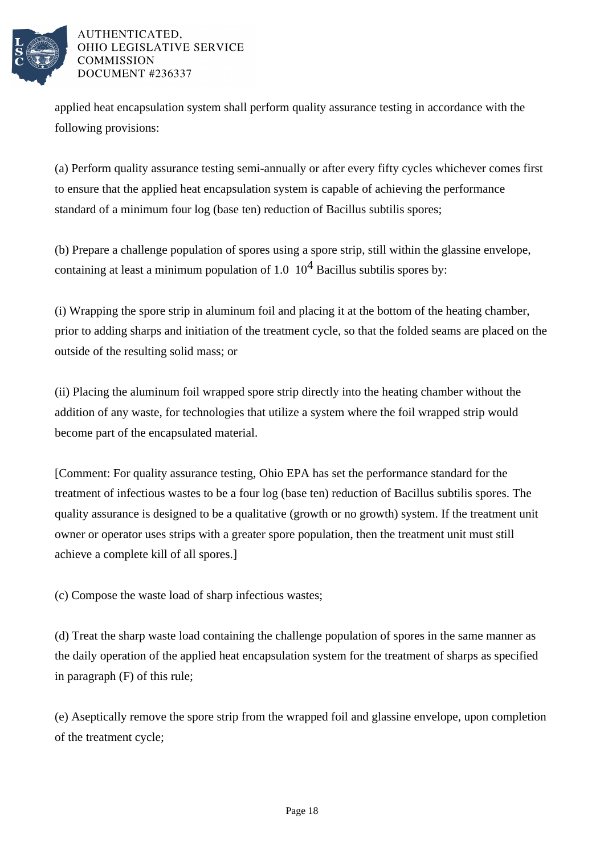

applied heat encapsulation system shall perform quality assurance testing in accordance with the following provisions:

(a) Perform quality assurance testing semi-annually or after every fifty cycles whichever comes first to ensure that the applied heat encapsulation system is capable of achieving the performance standard of a minimum four log (base ten) reduction of Bacillus subtilis spores;

(b) Prepare a challenge population of spores using a spore strip, still within the glassine envelope, containing at least a minimum population of 1.0  $10^4$  Bacillus subtilis spores by:

(i) Wrapping the spore strip in aluminum foil and placing it at the bottom of the heating chamber, prior to adding sharps and initiation of the treatment cycle, so that the folded seams are placed on the outside of the resulting solid mass; or

(ii) Placing the aluminum foil wrapped spore strip directly into the heating chamber without the addition of any waste, for technologies that utilize a system where the foil wrapped strip would become part of the encapsulated material.

[Comment: For quality assurance testing, Ohio EPA has set the performance standard for the treatment of infectious wastes to be a four log (base ten) reduction of Bacillus subtilis spores. The quality assurance is designed to be a qualitative (growth or no growth) system. If the treatment unit owner or operator uses strips with a greater spore population, then the treatment unit must still achieve a complete kill of all spores.]

(c) Compose the waste load of sharp infectious wastes;

(d) Treat the sharp waste load containing the challenge population of spores in the same manner as the daily operation of the applied heat encapsulation system for the treatment of sharps as specified in paragraph (F) of this rule;

(e) Aseptically remove the spore strip from the wrapped foil and glassine envelope, upon completion of the treatment cycle;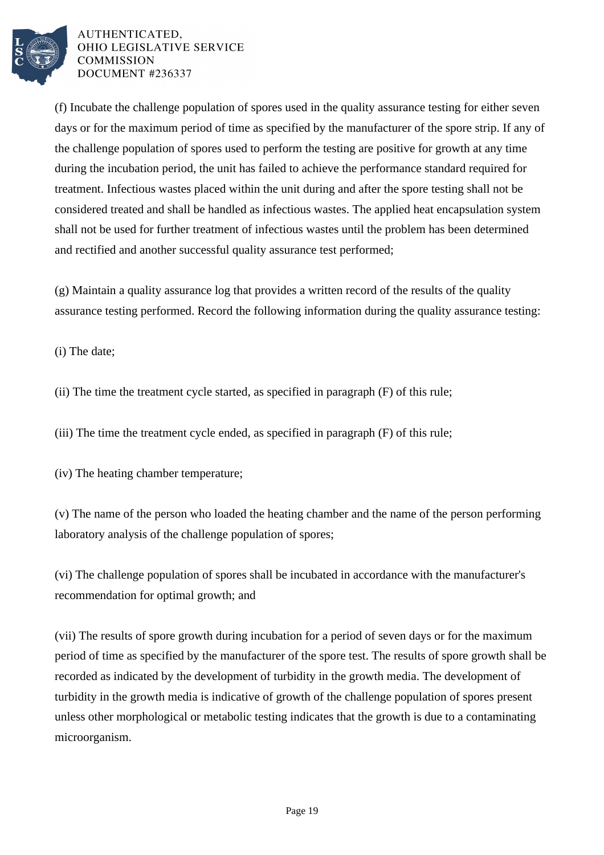

(f) Incubate the challenge population of spores used in the quality assurance testing for either seven days or for the maximum period of time as specified by the manufacturer of the spore strip. If any of the challenge population of spores used to perform the testing are positive for growth at any time during the incubation period, the unit has failed to achieve the performance standard required for treatment. Infectious wastes placed within the unit during and after the spore testing shall not be considered treated and shall be handled as infectious wastes. The applied heat encapsulation system shall not be used for further treatment of infectious wastes until the problem has been determined and rectified and another successful quality assurance test performed;

(g) Maintain a quality assurance log that provides a written record of the results of the quality assurance testing performed. Record the following information during the quality assurance testing:

(i) The date;

(ii) The time the treatment cycle started, as specified in paragraph (F) of this rule;

(iii) The time the treatment cycle ended, as specified in paragraph (F) of this rule;

(iv) The heating chamber temperature;

(v) The name of the person who loaded the heating chamber and the name of the person performing laboratory analysis of the challenge population of spores;

(vi) The challenge population of spores shall be incubated in accordance with the manufacturer's recommendation for optimal growth; and

(vii) The results of spore growth during incubation for a period of seven days or for the maximum period of time as specified by the manufacturer of the spore test. The results of spore growth shall be recorded as indicated by the development of turbidity in the growth media. The development of turbidity in the growth media is indicative of growth of the challenge population of spores present unless other morphological or metabolic testing indicates that the growth is due to a contaminating microorganism.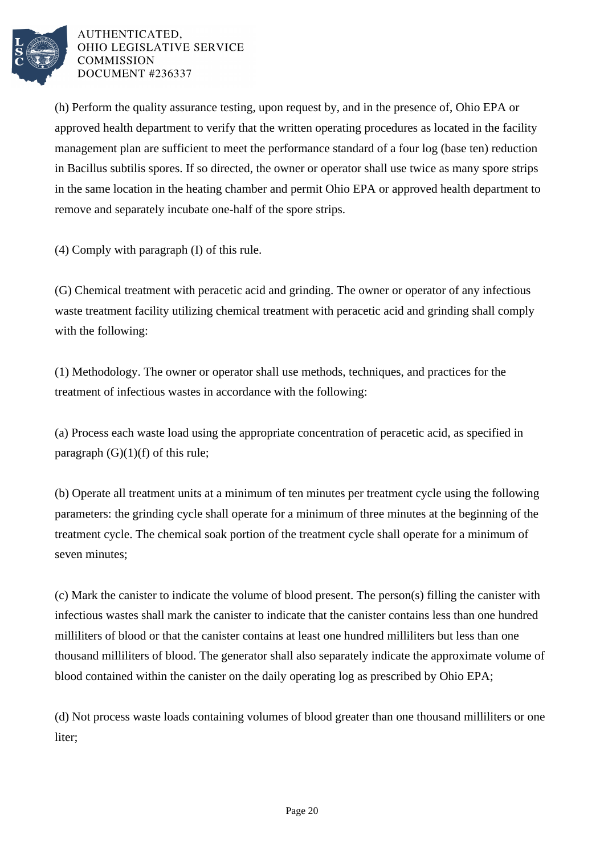

(h) Perform the quality assurance testing, upon request by, and in the presence of, Ohio EPA or approved health department to verify that the written operating procedures as located in the facility management plan are sufficient to meet the performance standard of a four log (base ten) reduction in Bacillus subtilis spores. If so directed, the owner or operator shall use twice as many spore strips in the same location in the heating chamber and permit Ohio EPA or approved health department to remove and separately incubate one-half of the spore strips.

(4) Comply with paragraph (I) of this rule.

(G) Chemical treatment with peracetic acid and grinding. The owner or operator of any infectious waste treatment facility utilizing chemical treatment with peracetic acid and grinding shall comply with the following:

(1) Methodology. The owner or operator shall use methods, techniques, and practices for the treatment of infectious wastes in accordance with the following:

(a) Process each waste load using the appropriate concentration of peracetic acid, as specified in paragraph  $(G)(1)(f)$  of this rule;

(b) Operate all treatment units at a minimum of ten minutes per treatment cycle using the following parameters: the grinding cycle shall operate for a minimum of three minutes at the beginning of the treatment cycle. The chemical soak portion of the treatment cycle shall operate for a minimum of seven minutes;

(c) Mark the canister to indicate the volume of blood present. The person(s) filling the canister with infectious wastes shall mark the canister to indicate that the canister contains less than one hundred milliliters of blood or that the canister contains at least one hundred milliliters but less than one thousand milliliters of blood. The generator shall also separately indicate the approximate volume of blood contained within the canister on the daily operating log as prescribed by Ohio EPA;

(d) Not process waste loads containing volumes of blood greater than one thousand milliliters or one liter;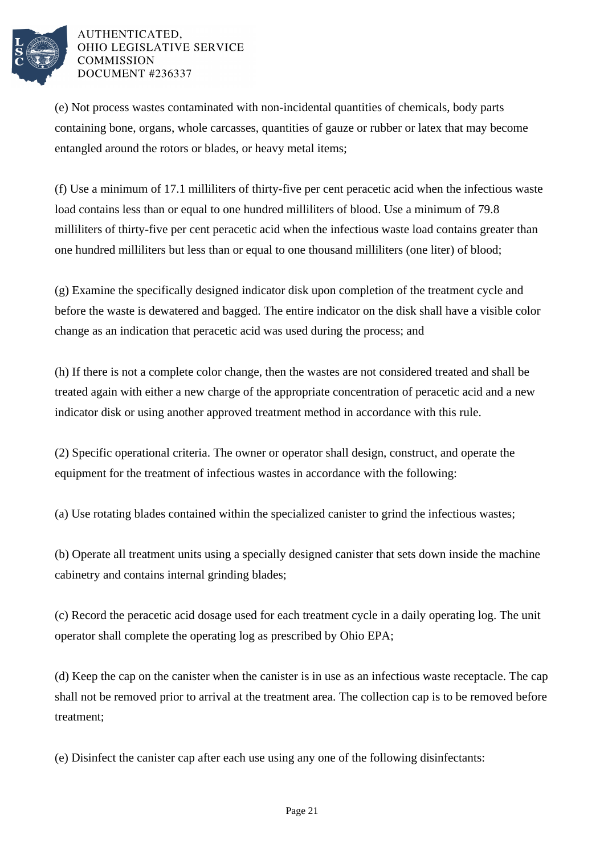

(e) Not process wastes contaminated with non-incidental quantities of chemicals, body parts containing bone, organs, whole carcasses, quantities of gauze or rubber or latex that may become entangled around the rotors or blades, or heavy metal items;

(f) Use a minimum of 17.1 milliliters of thirty-five per cent peracetic acid when the infectious waste load contains less than or equal to one hundred milliliters of blood. Use a minimum of 79.8 milliliters of thirty-five per cent peracetic acid when the infectious waste load contains greater than one hundred milliliters but less than or equal to one thousand milliliters (one liter) of blood;

(g) Examine the specifically designed indicator disk upon completion of the treatment cycle and before the waste is dewatered and bagged. The entire indicator on the disk shall have a visible color change as an indication that peracetic acid was used during the process; and

(h) If there is not a complete color change, then the wastes are not considered treated and shall be treated again with either a new charge of the appropriate concentration of peracetic acid and a new indicator disk or using another approved treatment method in accordance with this rule.

(2) Specific operational criteria. The owner or operator shall design, construct, and operate the equipment for the treatment of infectious wastes in accordance with the following:

(a) Use rotating blades contained within the specialized canister to grind the infectious wastes;

(b) Operate all treatment units using a specially designed canister that sets down inside the machine cabinetry and contains internal grinding blades;

(c) Record the peracetic acid dosage used for each treatment cycle in a daily operating log. The unit operator shall complete the operating log as prescribed by Ohio EPA;

(d) Keep the cap on the canister when the canister is in use as an infectious waste receptacle. The cap shall not be removed prior to arrival at the treatment area. The collection cap is to be removed before treatment;

(e) Disinfect the canister cap after each use using any one of the following disinfectants: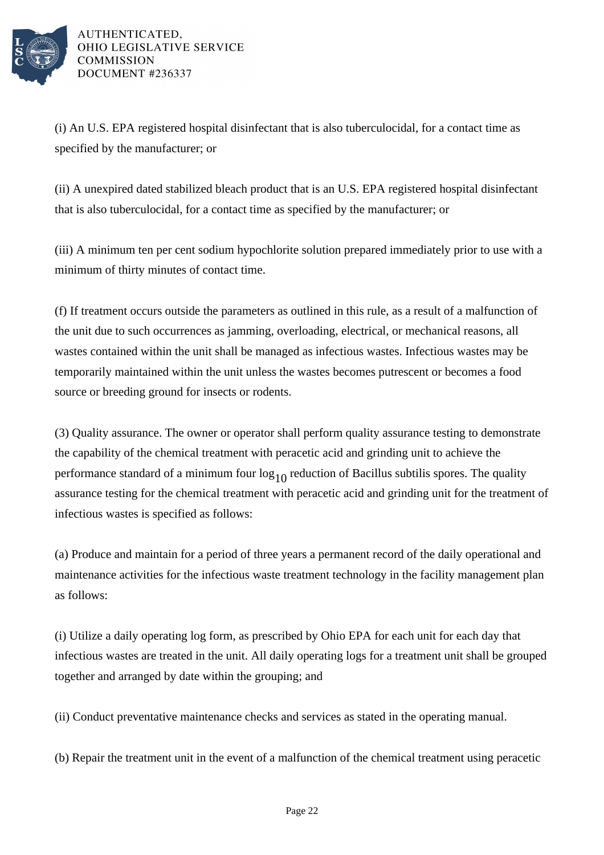

(i) An U.S. EPA registered hospital disinfectant that is also tuberculocidal, for a contact time as specified by the manufacturer; or

(ii) A unexpired dated stabilized bleach product that is an U.S. EPA registered hospital disinfectant that is also tuberculocidal, for a contact time as specified by the manufacturer; or

(iii) A minimum ten per cent sodium hypochlorite solution prepared immediately prior to use with a minimum of thirty minutes of contact time.

(f) If treatment occurs outside the parameters as outlined in this rule, as a result of a malfunction of the unit due to such occurrences as jamming, overloading, electrical, or mechanical reasons, all wastes contained within the unit shall be managed as infectious wastes. Infectious wastes may be temporarily maintained within the unit unless the wastes becomes putrescent or becomes a food source or breeding ground for insects or rodents.

(3) Quality assurance. The owner or operator shall perform quality assurance testing to demonstrate the capability of the chemical treatment with peracetic acid and grinding unit to achieve the performance standard of a minimum four  $log_{10}$  reduction of Bacillus subtilis spores. The quality assurance testing for the chemical treatment with peracetic acid and grinding unit for the treatment of infectious wastes is specified as follows:

(a) Produce and maintain for a period of three years a permanent record of the daily operational and maintenance activities for the infectious waste treatment technology in the facility management plan as follows:

(i) Utilize a daily operating log form, as prescribed by Ohio EPA for each unit for each day that infectious wastes are treated in the unit. All daily operating logs for a treatment unit shall be grouped together and arranged by date within the grouping; and

(ii) Conduct preventative maintenance checks and services as stated in the operating manual.

(b) Repair the treatment unit in the event of a malfunction of the chemical treatment using peracetic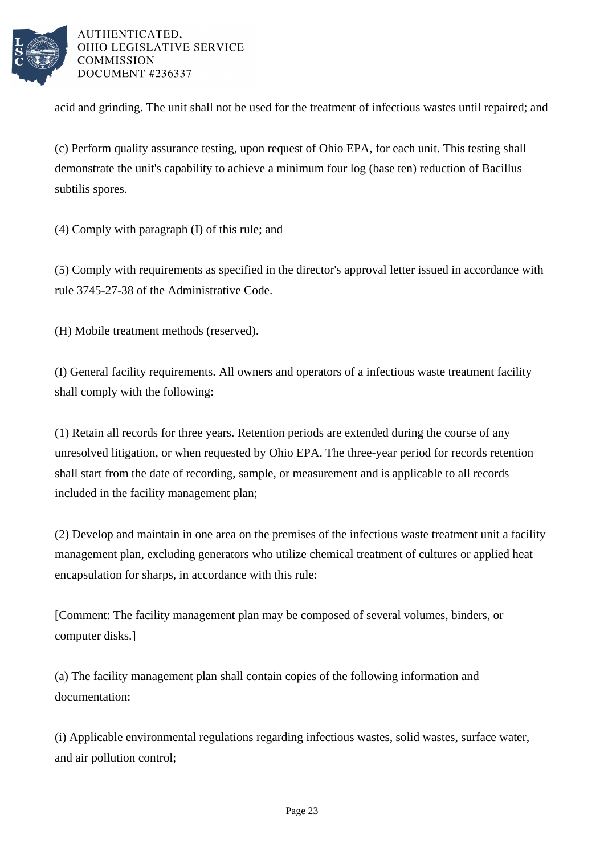

acid and grinding. The unit shall not be used for the treatment of infectious wastes until repaired; and

(c) Perform quality assurance testing, upon request of Ohio EPA, for each unit. This testing shall demonstrate the unit's capability to achieve a minimum four log (base ten) reduction of Bacillus subtilis spores.

(4) Comply with paragraph (I) of this rule; and

(5) Comply with requirements as specified in the director's approval letter issued in accordance with rule 3745-27-38 of the Administrative Code.

(H) Mobile treatment methods (reserved).

(I) General facility requirements. All owners and operators of a infectious waste treatment facility shall comply with the following:

(1) Retain all records for three years. Retention periods are extended during the course of any unresolved litigation, or when requested by Ohio EPA. The three-year period for records retention shall start from the date of recording, sample, or measurement and is applicable to all records included in the facility management plan;

(2) Develop and maintain in one area on the premises of the infectious waste treatment unit a facility management plan, excluding generators who utilize chemical treatment of cultures or applied heat encapsulation for sharps, in accordance with this rule:

[Comment: The facility management plan may be composed of several volumes, binders, or computer disks.]

(a) The facility management plan shall contain copies of the following information and documentation:

(i) Applicable environmental regulations regarding infectious wastes, solid wastes, surface water, and air pollution control;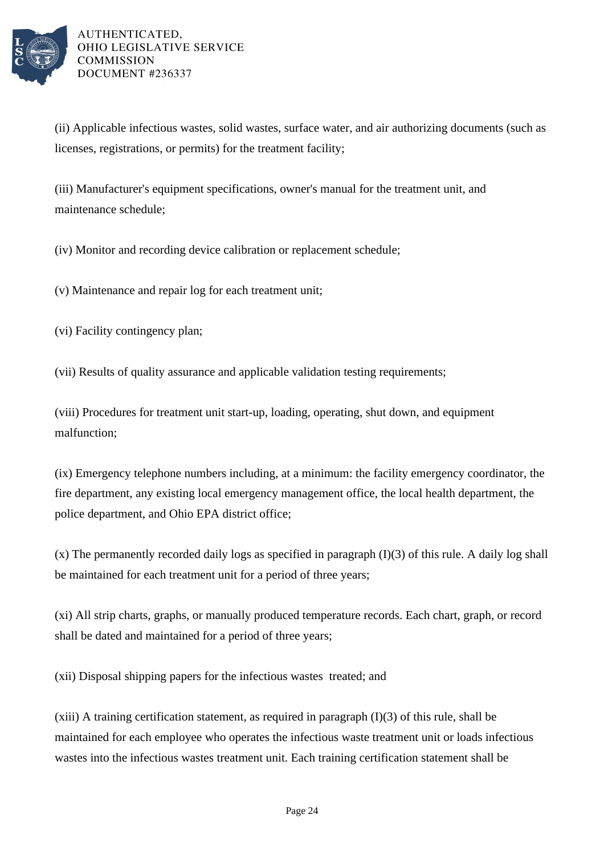

(ii) Applicable infectious wastes, solid wastes, surface water, and air authorizing documents (such as licenses, registrations, or permits) for the treatment facility;

(iii) Manufacturer's equipment specifications, owner's manual for the treatment unit, and maintenance schedule;

(iv) Monitor and recording device calibration or replacement schedule;

(v) Maintenance and repair log for each treatment unit;

(vi) Facility contingency plan;

(vii) Results of quality assurance and applicable validation testing requirements;

(viii) Procedures for treatment unit start-up, loading, operating, shut down, and equipment malfunction;

(ix) Emergency telephone numbers including, at a minimum: the facility emergency coordinator, the fire department, any existing local emergency management office, the local health department, the police department, and Ohio EPA district office;

 $(x)$  The permanently recorded daily logs as specified in paragraph  $(I)(3)$  of this rule. A daily log shall be maintained for each treatment unit for a period of three years;

(xi) All strip charts, graphs, or manually produced temperature records. Each chart, graph, or record shall be dated and maintained for a period of three years;

(xii) Disposal shipping papers for the infectious wastes treated; and

 $(xiii)$  A training certification statement, as required in paragraph  $(I)(3)$  of this rule, shall be maintained for each employee who operates the infectious waste treatment unit or loads infectious wastes into the infectious wastes treatment unit. Each training certification statement shall be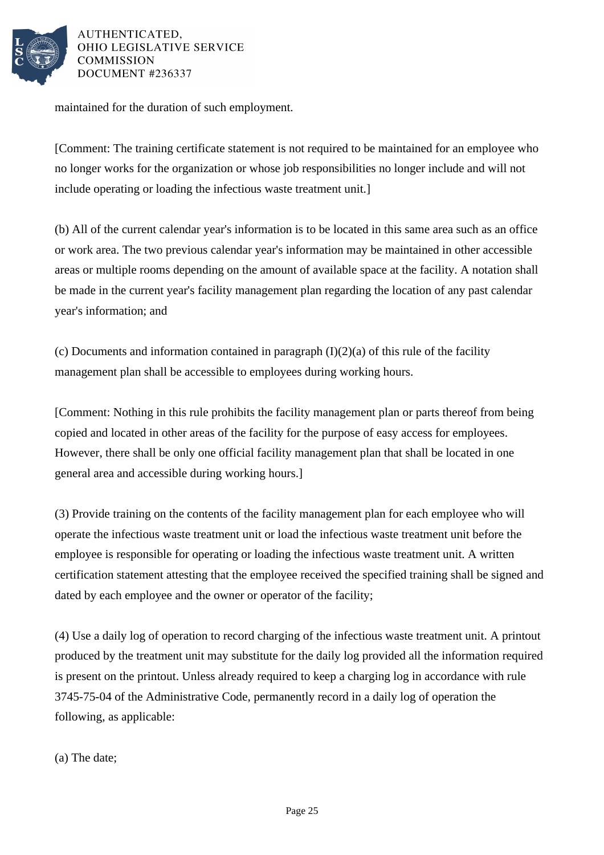

maintained for the duration of such employment.

[Comment: The training certificate statement is not required to be maintained for an employee who no longer works for the organization or whose job responsibilities no longer include and will not include operating or loading the infectious waste treatment unit.]

(b) All of the current calendar year's information is to be located in this same area such as an office or work area. The two previous calendar year's information may be maintained in other accessible areas or multiple rooms depending on the amount of available space at the facility. A notation shall be made in the current year's facility management plan regarding the location of any past calendar year's information; and

(c) Documents and information contained in paragraph  $(I)(2)(a)$  of this rule of the facility management plan shall be accessible to employees during working hours.

[Comment: Nothing in this rule prohibits the facility management plan or parts thereof from being copied and located in other areas of the facility for the purpose of easy access for employees. However, there shall be only one official facility management plan that shall be located in one general area and accessible during working hours.]

(3) Provide training on the contents of the facility management plan for each employee who will operate the infectious waste treatment unit or load the infectious waste treatment unit before the employee is responsible for operating or loading the infectious waste treatment unit. A written certification statement attesting that the employee received the specified training shall be signed and dated by each employee and the owner or operator of the facility;

(4) Use a daily log of operation to record charging of the infectious waste treatment unit. A printout produced by the treatment unit may substitute for the daily log provided all the information required is present on the printout. Unless already required to keep a charging log in accordance with rule 3745-75-04 of the Administrative Code, permanently record in a daily log of operation the following, as applicable:

(a) The date;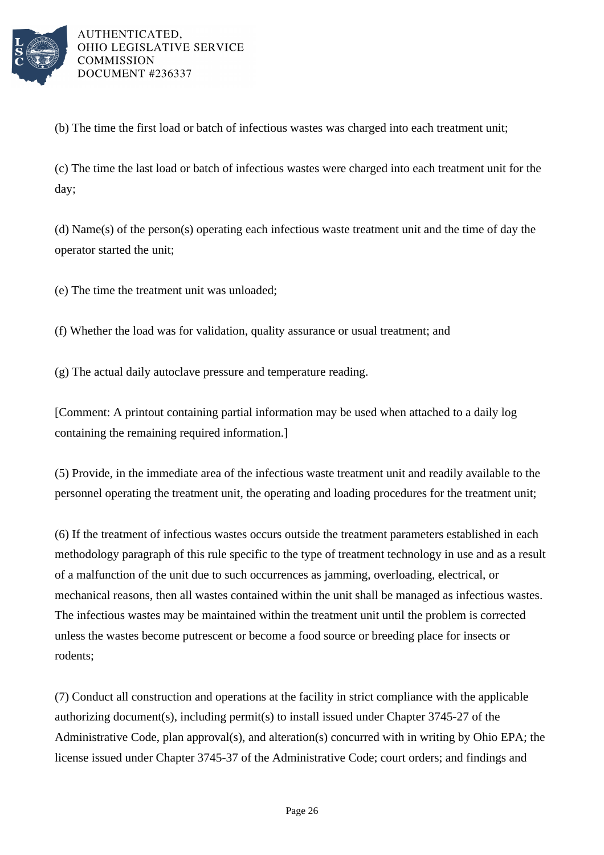

(b) The time the first load or batch of infectious wastes was charged into each treatment unit;

(c) The time the last load or batch of infectious wastes were charged into each treatment unit for the day;

(d) Name(s) of the person(s) operating each infectious waste treatment unit and the time of day the operator started the unit;

(e) The time the treatment unit was unloaded;

(f) Whether the load was for validation, quality assurance or usual treatment; and

(g) The actual daily autoclave pressure and temperature reading.

[Comment: A printout containing partial information may be used when attached to a daily log containing the remaining required information.]

(5) Provide, in the immediate area of the infectious waste treatment unit and readily available to the personnel operating the treatment unit, the operating and loading procedures for the treatment unit;

(6) If the treatment of infectious wastes occurs outside the treatment parameters established in each methodology paragraph of this rule specific to the type of treatment technology in use and as a result of a malfunction of the unit due to such occurrences as jamming, overloading, electrical, or mechanical reasons, then all wastes contained within the unit shall be managed as infectious wastes. The infectious wastes may be maintained within the treatment unit until the problem is corrected unless the wastes become putrescent or become a food source or breeding place for insects or rodents;

(7) Conduct all construction and operations at the facility in strict compliance with the applicable authorizing document(s), including permit(s) to install issued under Chapter 3745-27 of the Administrative Code, plan approval(s), and alteration(s) concurred with in writing by Ohio EPA; the license issued under Chapter 3745-37 of the Administrative Code; court orders; and findings and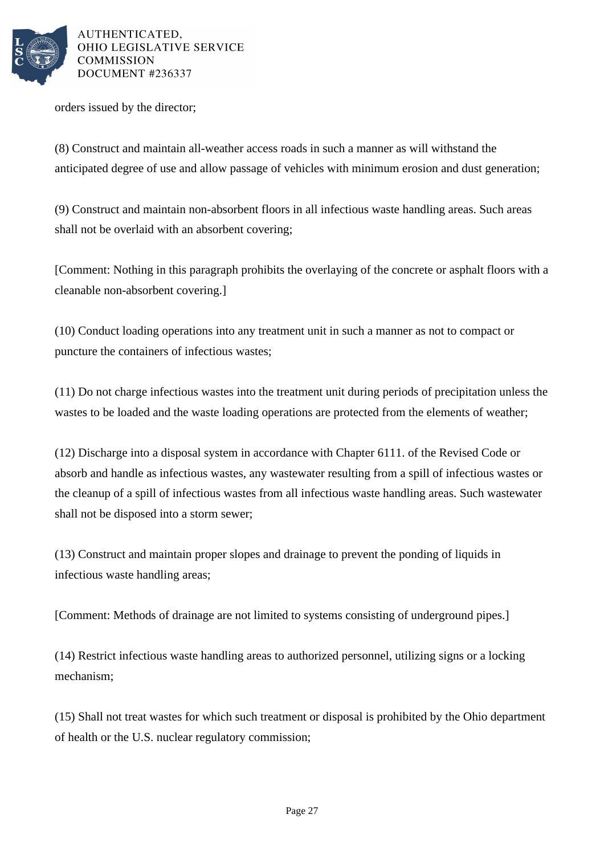

orders issued by the director;

(8) Construct and maintain all-weather access roads in such a manner as will withstand the anticipated degree of use and allow passage of vehicles with minimum erosion and dust generation;

(9) Construct and maintain non-absorbent floors in all infectious waste handling areas. Such areas shall not be overlaid with an absorbent covering;

[Comment: Nothing in this paragraph prohibits the overlaying of the concrete or asphalt floors with a cleanable non-absorbent covering.]

(10) Conduct loading operations into any treatment unit in such a manner as not to compact or puncture the containers of infectious wastes;

(11) Do not charge infectious wastes into the treatment unit during periods of precipitation unless the wastes to be loaded and the waste loading operations are protected from the elements of weather;

(12) Discharge into a disposal system in accordance with Chapter 6111. of the Revised Code or absorb and handle as infectious wastes, any wastewater resulting from a spill of infectious wastes or the cleanup of a spill of infectious wastes from all infectious waste handling areas. Such wastewater shall not be disposed into a storm sewer;

(13) Construct and maintain proper slopes and drainage to prevent the ponding of liquids in infectious waste handling areas;

[Comment: Methods of drainage are not limited to systems consisting of underground pipes.]

(14) Restrict infectious waste handling areas to authorized personnel, utilizing signs or a locking mechanism;

(15) Shall not treat wastes for which such treatment or disposal is prohibited by the Ohio department of health or the U.S. nuclear regulatory commission;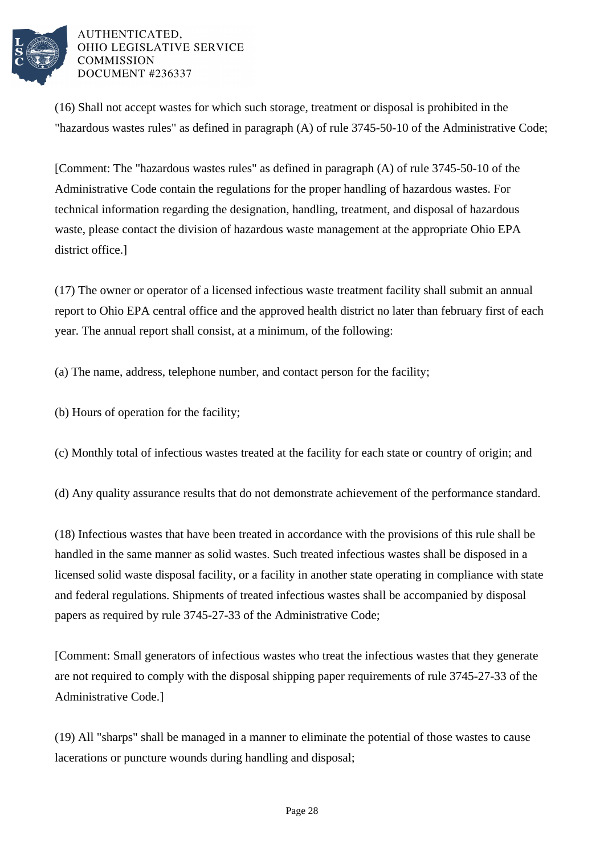

(16) Shall not accept wastes for which such storage, treatment or disposal is prohibited in the "hazardous wastes rules" as defined in paragraph (A) of rule 3745-50-10 of the Administrative Code;

[Comment: The "hazardous wastes rules" as defined in paragraph (A) of rule 3745-50-10 of the Administrative Code contain the regulations for the proper handling of hazardous wastes. For technical information regarding the designation, handling, treatment, and disposal of hazardous waste, please contact the division of hazardous waste management at the appropriate Ohio EPA district office.]

(17) The owner or operator of a licensed infectious waste treatment facility shall submit an annual report to Ohio EPA central office and the approved health district no later than february first of each year. The annual report shall consist, at a minimum, of the following:

(a) The name, address, telephone number, and contact person for the facility;

(b) Hours of operation for the facility;

(c) Monthly total of infectious wastes treated at the facility for each state or country of origin; and

(d) Any quality assurance results that do not demonstrate achievement of the performance standard.

(18) Infectious wastes that have been treated in accordance with the provisions of this rule shall be handled in the same manner as solid wastes. Such treated infectious wastes shall be disposed in a licensed solid waste disposal facility, or a facility in another state operating in compliance with state and federal regulations. Shipments of treated infectious wastes shall be accompanied by disposal papers as required by rule 3745-27-33 of the Administrative Code;

[Comment: Small generators of infectious wastes who treat the infectious wastes that they generate are not required to comply with the disposal shipping paper requirements of rule 3745-27-33 of the Administrative Code.]

(19) All "sharps" shall be managed in a manner to eliminate the potential of those wastes to cause lacerations or puncture wounds during handling and disposal;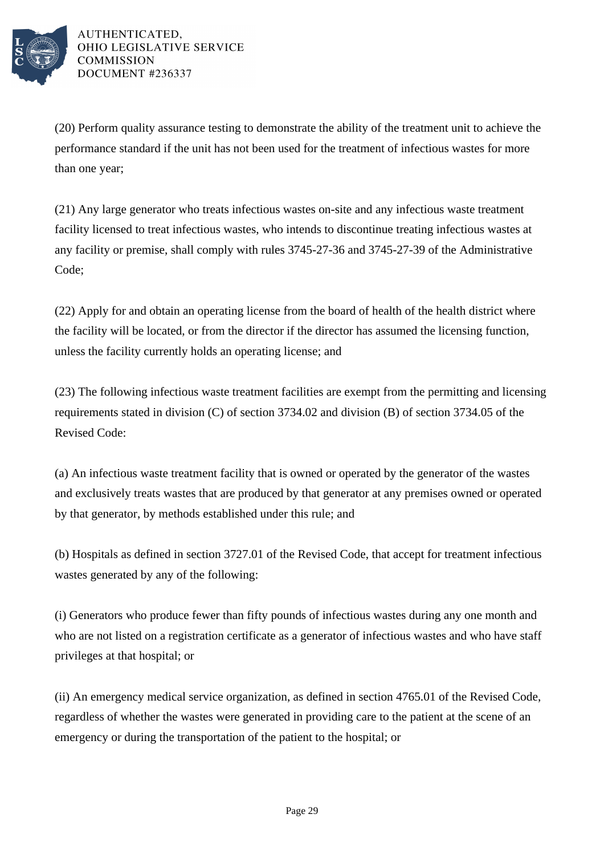

(20) Perform quality assurance testing to demonstrate the ability of the treatment unit to achieve the performance standard if the unit has not been used for the treatment of infectious wastes for more than one year;

(21) Any large generator who treats infectious wastes on-site and any infectious waste treatment facility licensed to treat infectious wastes, who intends to discontinue treating infectious wastes at any facility or premise, shall comply with rules 3745-27-36 and 3745-27-39 of the Administrative Code;

(22) Apply for and obtain an operating license from the board of health of the health district where the facility will be located, or from the director if the director has assumed the licensing function, unless the facility currently holds an operating license; and

(23) The following infectious waste treatment facilities are exempt from the permitting and licensing requirements stated in division (C) of section 3734.02 and division (B) of section 3734.05 of the Revised Code:

(a) An infectious waste treatment facility that is owned or operated by the generator of the wastes and exclusively treats wastes that are produced by that generator at any premises owned or operated by that generator, by methods established under this rule; and

(b) Hospitals as defined in section 3727.01 of the Revised Code, that accept for treatment infectious wastes generated by any of the following:

(i) Generators who produce fewer than fifty pounds of infectious wastes during any one month and who are not listed on a registration certificate as a generator of infectious wastes and who have staff privileges at that hospital; or

(ii) An emergency medical service organization, as defined in section 4765.01 of the Revised Code, regardless of whether the wastes were generated in providing care to the patient at the scene of an emergency or during the transportation of the patient to the hospital; or